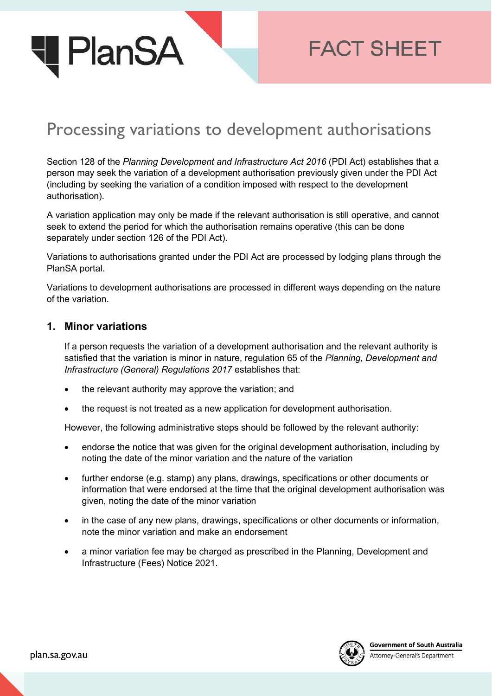

# **FACT SHEET**

## Processing variations to development authorisations

Section 128 of the *Planning Development and Infrastructure Act 2016* (PDI Act) establishes that a person may seek the variation of a development authorisation previously given under the PDI Act (including by seeking the variation of a condition imposed with respect to the development authorisation).

A variation application may only be made if the relevant authorisation is still operative, and cannot seek to extend the period for which the authorisation remains operative (this can be done separately under section 126 of the PDI Act).

Variations to authorisations granted under the PDI Act are processed by lodging plans through the PlanSA portal.

Variations to development authorisations are processed in different ways depending on the nature of the variation.

#### **1. Minor variations**

If a person requests the variation of a development authorisation and the relevant authority is satisfied that the variation is minor in nature, regulation 65 of the *Planning, Development and Infrastructure (General) Regulations 2017* establishes that:

- the relevant authority may approve the variation; and
- the request is not treated as a new application for development authorisation.

However, the following administrative steps should be followed by the relevant authority:

- endorse the notice that was given for the original development authorisation, including by noting the date of the minor variation and the nature of the variation
- further endorse (e.g. stamp) any plans, drawings, specifications or other documents or information that were endorsed at the time that the original development authorisation was given, noting the date of the minor variation
- in the case of any new plans, drawings, specifications or other documents or information, note the minor variation and make an endorsement
- a minor variation fee may be charged as prescribed in the Planning, Development and Infrastructure (Fees) Notice 2021.



Attorney-General's Department